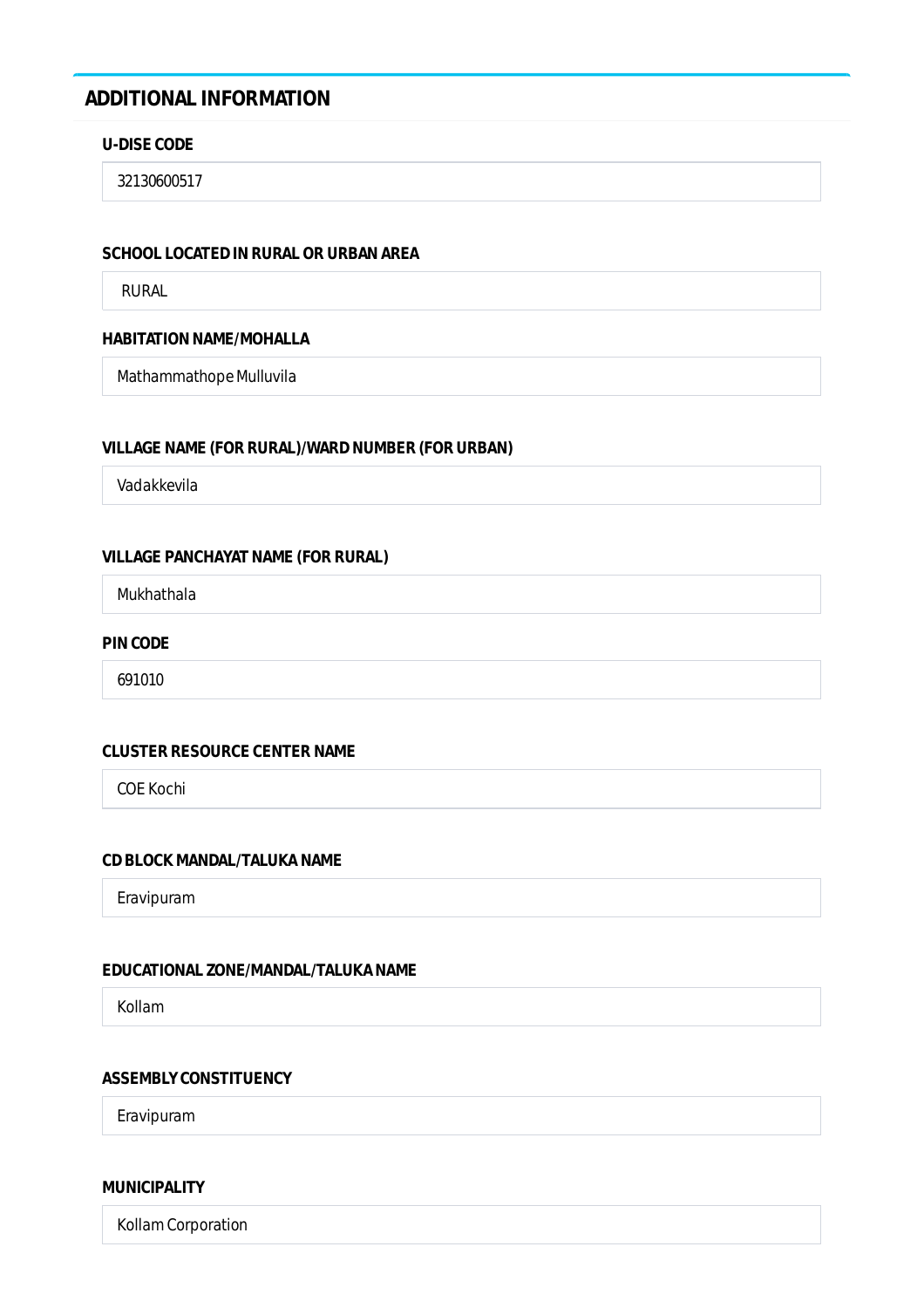# **ADDITIONAL INFORMATION**

### **U-DISE CODE**

32130600517

### **SCHOOL LOCATED IN RURAL OR URBAN AREA**

RURAL

# **HABITATION NAME/MOHALLA**

Mathammathope Mulluvila

### **VILLAGE NAME (FOR RURAL)/WARD NUMBER (FOR URBAN)**

Vadakkevila

# **VILLAGE PANCHAYAT NAME (FOR RURAL)**

Mukhathala

### **PIN CODE**

691010

### **CLUSTER RESOURCE CENTER NAME**

COE Kochi

# **CD BLOCK MANDAL/TALUKA NAME**

Eravipuram

### **EDUCATIONAL ZONE/MANDAL/TALUKA NAME**

Kollam

### **ASSEMBLY CONSTITUENCY**

Eravipuram

### **MUNICIPALITY**

Kollam Corporation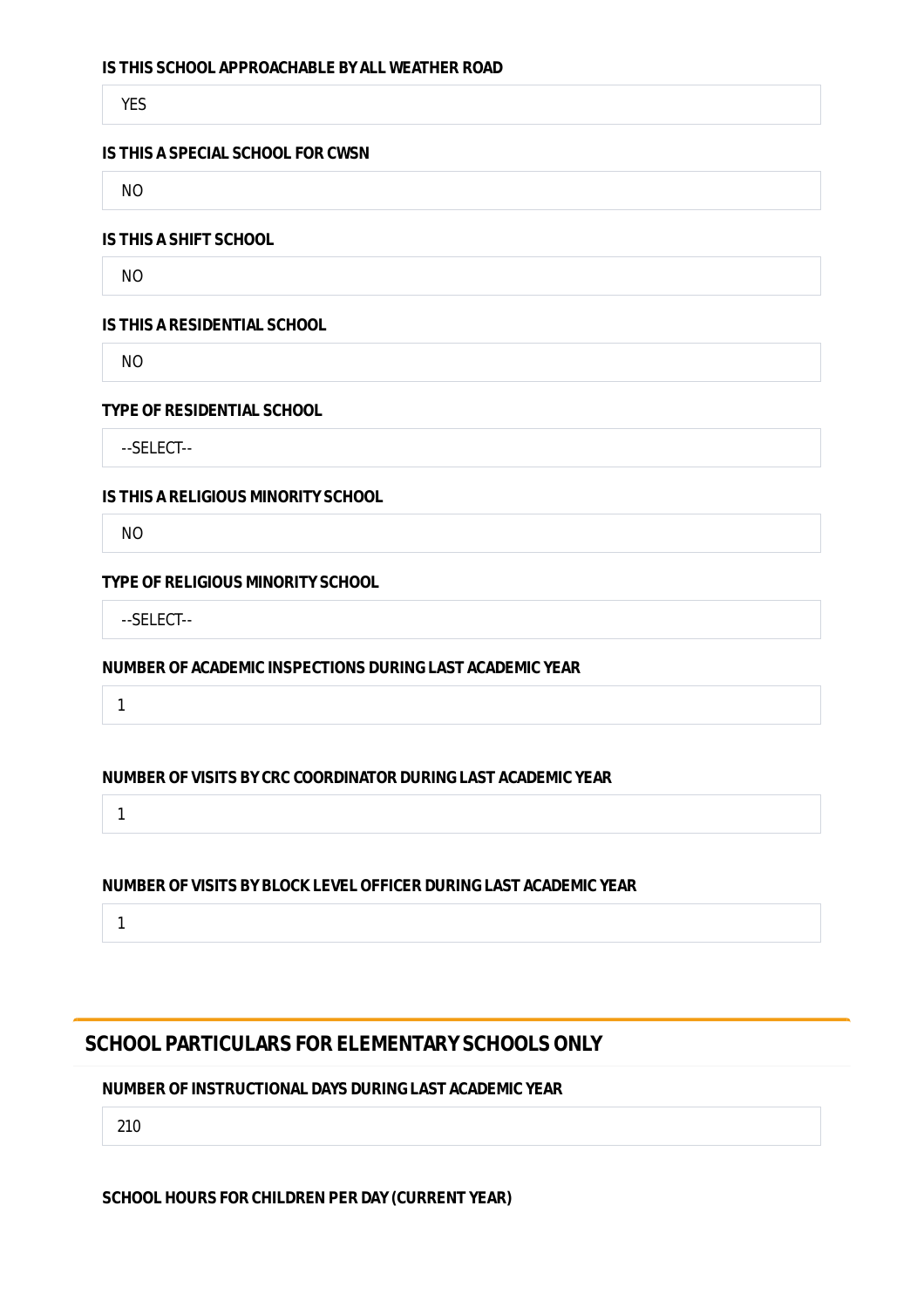### **IS THIS SCHOOL APPROACHABLE BY ALL WEATHER ROAD**

YES

### **IS THIS A SPECIAL SCHOOL FOR CWSN**

NO

### **IS THIS A SHIFT SCHOOL**

NO

### **IS THIS A RESIDENTIAL SCHOOL**

NO

### **TYPE OF RESIDENTIAL SCHOOL**

--SELECT--

### **IS THIS A RELIGIOUS MINORITY SCHOOL**

NO

### **TYPE OF RELIGIOUS MINORITY SCHOOL**

--SELECT--

# **NUMBER OF ACADEMIC INSPECTIONS DURING LAST ACADEMIC YEAR**

1

### **NUMBER OF VISITS BY CRC COORDINATOR DURING LAST ACADEMIC YEAR**

1

# **NUMBER OF VISITS BY BLOCK LEVEL OFFICER DURING LAST ACADEMIC YEAR**

1

# **SCHOOL PARTICULARS FOR ELEMENTARY SCHOOLS ONLY**

### **NUMBER OF INSTRUCTIONAL DAYS DURING LAST ACADEMIC YEAR**

210

### **SCHOOL HOURS FOR CHILDREN PER DAY (CURRENT YEAR)**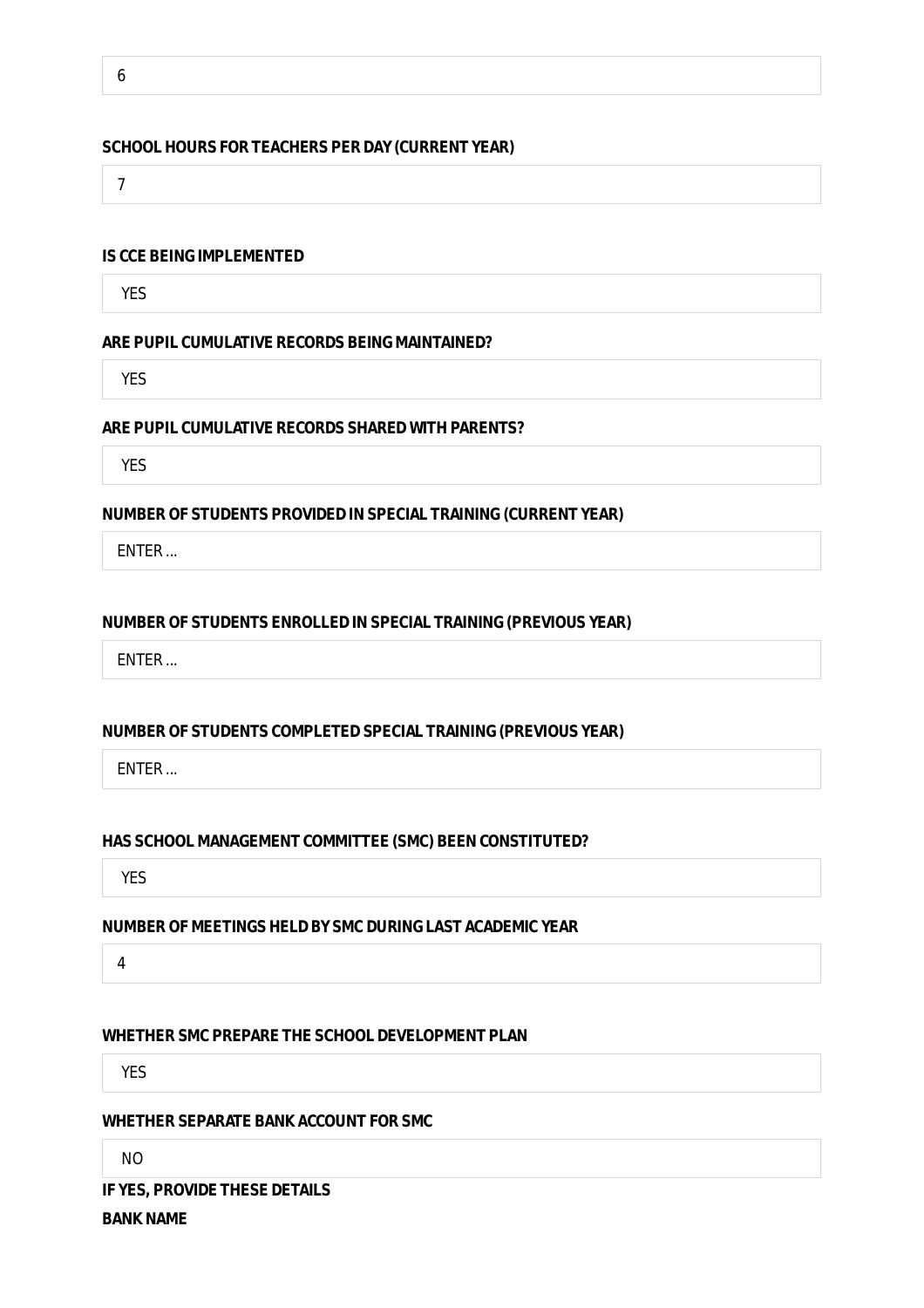6

### **SCHOOL HOURS FOR TEACHERS PER DAY (CURRENT YEAR)**

7

### **IS CCE BEING IMPLEMENTED**

YES

#### **ARE PUPIL CUMULATIVE RECORDS BEING MAINTAINED?**

YES

# **ARE PUPIL CUMULATIVE RECORDS SHARED WITH PARENTS?**

YES

#### **NUMBER OF STUDENTS PROVIDED IN SPECIAL TRAINING (CURRENT YEAR)**

ENTER ...

### **NUMBER OF STUDENTS ENROLLED IN SPECIAL TRAINING (PREVIOUS YEAR)**

ENTER ...

### **NUMBER OF STUDENTS COMPLETED SPECIAL TRAINING (PREVIOUS YEAR)**

ENTER ...

### **HAS SCHOOL MANAGEMENT COMMITTEE (SMC) BEEN CONSTITUTED?**

YES

# **NUMBER OF MEETINGS HELD BY SMC DURING LAST ACADEMIC YEAR**

4

### **WHETHER SMC PREPARE THE SCHOOL DEVELOPMENT PLAN**

YES

### **WHETHER SEPARATE BANK ACCOUNT FOR SMC**

NO

**IF YES, PROVIDE THESE DETAILS**

**BANK NAME**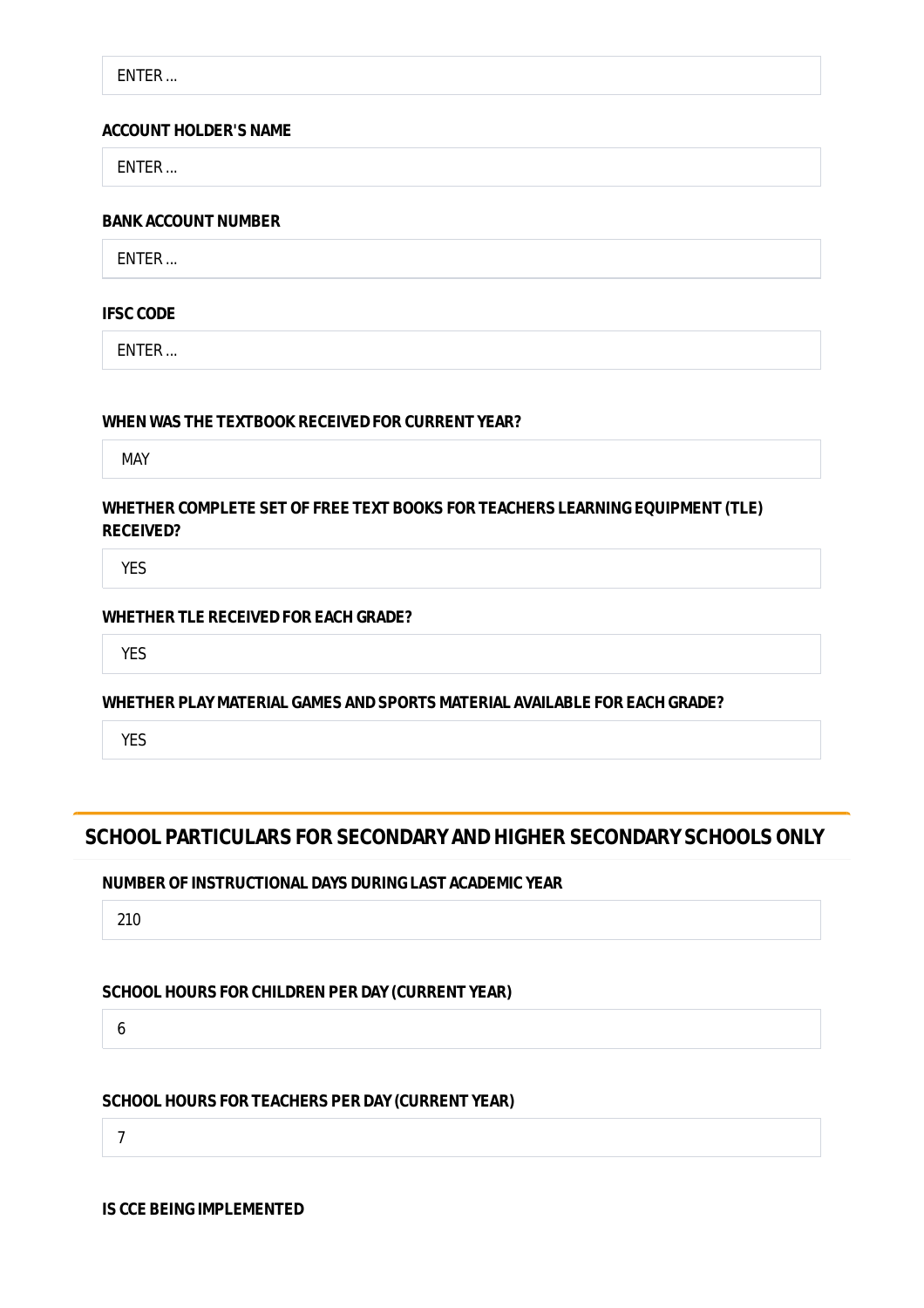ENTER ...

### **ACCOUNT HOLDER'S NAME**

ENTER ...

### **BANK ACCOUNT NUMBER**

ENTER ...

# **IFSC CODE**

ENTER ...

# **WHEN WAS THE TEXTBOOK RECEIVED FOR CURRENT YEAR?**

MAY

# **WHETHER COMPLETE SET OF FREE TEXT BOOKS FOR TEACHERS LEARNING EQUIPMENT (TLE) RECEIVED?**

YES

# **WHETHER TLE RECEIVED FOR EACH GRADE?**

YES

# **WHETHER PLAY MATERIAL GAMES AND SPORTS MATERIAL AVAILABLE FOR EACH GRADE?**

YES

# **SCHOOL PARTICULARS FOR SECONDARY AND HIGHER SECONDARY SCHOOLS ONLY**

# **NUMBER OF INSTRUCTIONAL DAYS DURING LAST ACADEMIC YEAR**

210

# **SCHOOL HOURS FOR CHILDREN PER DAY (CURRENT YEAR)**

6

# **SCHOOL HOURS FOR TEACHERS PER DAY (CURRENT YEAR)**

7

**IS CCE BEING IMPLEMENTED**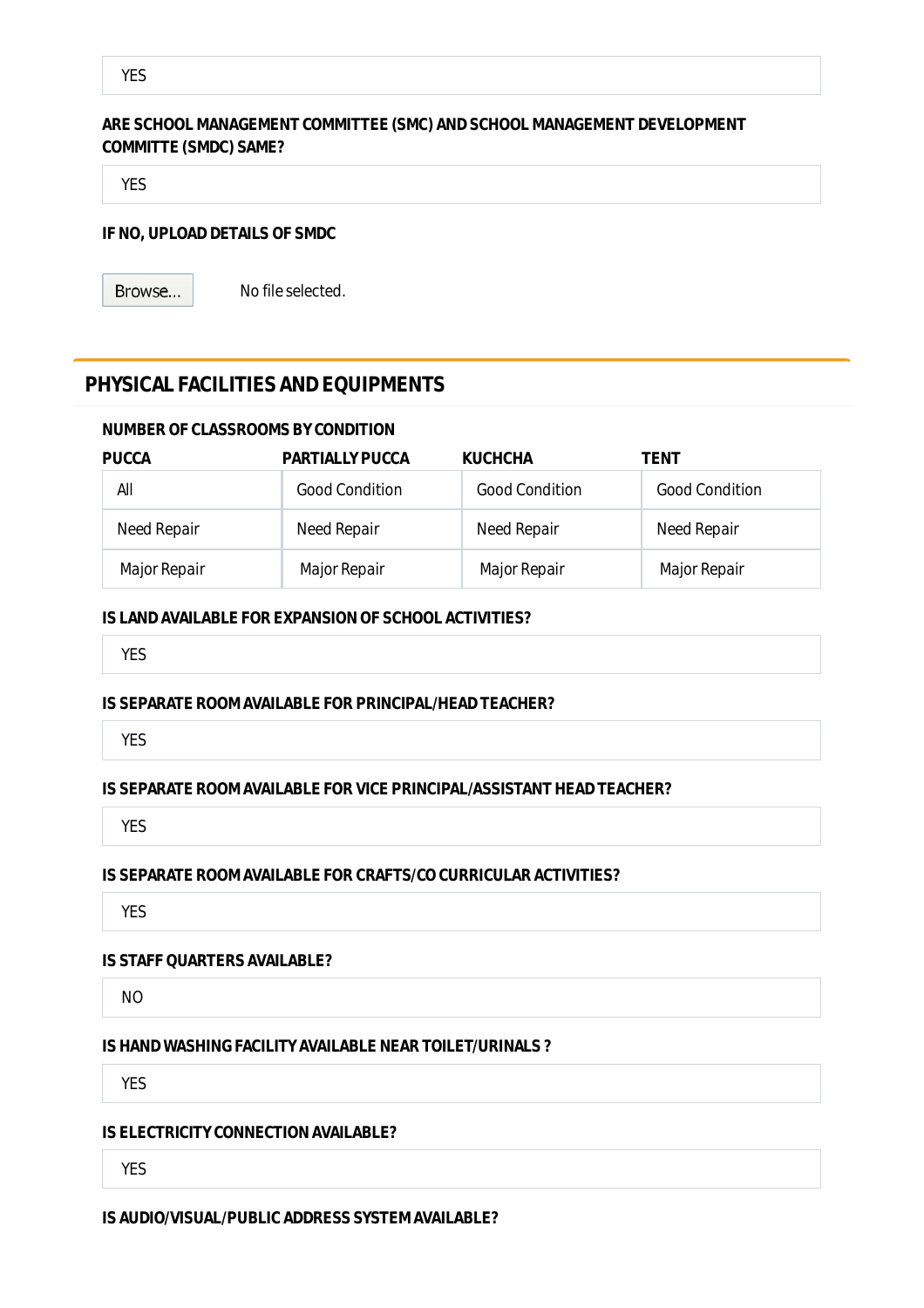# **ARE SCHOOL MANAGEMENT COMMITTEE (SMC) AND SCHOOL MANAGEMENT DEVELOPMENT COMMITTE (SMDC) SAME?**

YES

# **IF NO, UPLOAD DETAILS OF SMDC**

Browse...

No file selected.

# **PHYSICAL FACILITIES AND EQUIPMENTS**

### **NUMBER OF CLASSROOMS BY CONDITION**

| <b>PUCCA</b> | <b>PARTIALLY PUCCA</b> | <b>KUCHCHA</b>        | TENT                  |
|--------------|------------------------|-----------------------|-----------------------|
| All          | <b>Good Condition</b>  | <b>Good Condition</b> | <b>Good Condition</b> |
| Need Repair  | Need Repair            | Need Repair           | Need Repair           |
| Major Repair | Major Repair           | Major Repair          | Major Repair          |

### **IS LAND AVAILABLE FOR EXPANSION OF SCHOOL ACTIVITIES?**

YES

### **IS SEPARATE ROOM AVAILABLE FOR PRINCIPAL/HEAD TEACHER?**

YES

### **IS SEPARATE ROOM AVAILABLE FOR VICE PRINCIPAL/ASSISTANT HEAD TEACHER?**

YES

### **IS SEPARATE ROOM AVAILABLE FOR CRAFTS/CO CURRICULAR ACTIVITIES?**

**YES** 

# **IS STAFF QUARTERS AVAILABLE?**

NO

### **IS HAND WASHING FACILITY AVAILABLE NEAR TOILET/URINALS ?**

YES

### **IS ELECTRICITY CONNECTION AVAILABLE?**

YES

# **IS AUDIO/VISUAL/PUBLIC ADDRESS SYSTEM AVAILABLE?**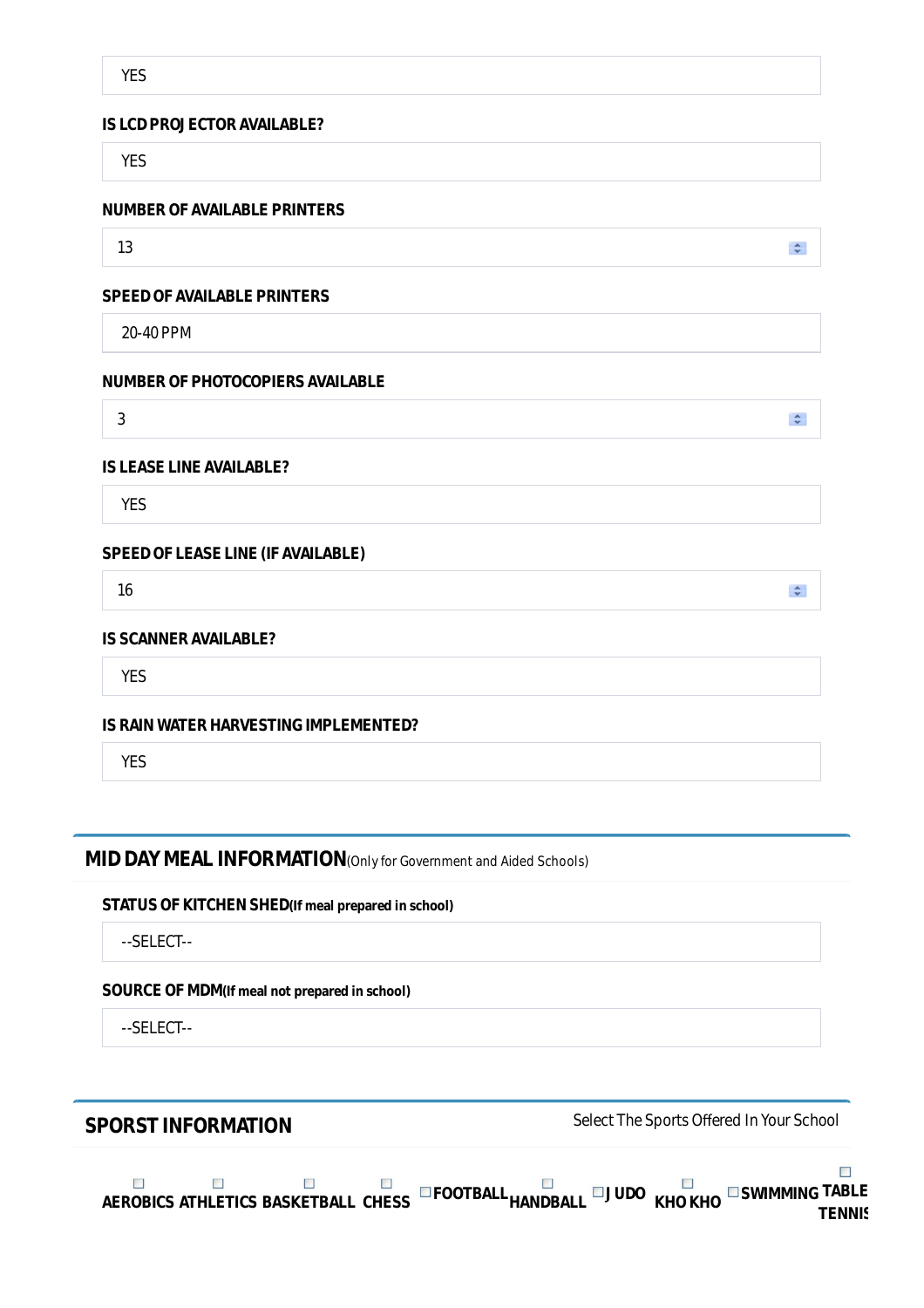### **IS LCD PROJECTOR AVAILABLE?**

YES

### **NUMBER OF AVAILABLE PRINTERS**

13

#### **SPEED OF AVAILABLE PRINTERS**

20-40 PPM

### **NUMBER OF PHOTOCOPIERS AVAILABLE**

3

### **IS LEASE LINE AVAILABLE?**

YES

### **SPEED OF LEASE LINE (IF AVAILABLE)**

16

# **IS SCANNER AVAILABLE?**

YES

### **IS RAIN WATER HARVESTING IMPLEMENTED?**

YES

# **MID DAY MEAL INFORMATION**(Only for Government and Aided Schools)

#### **STATUS OF KITCHEN SHED(If meal prepared in school)**

--SELECT--

### **SOURCE OF MDM(If meal not prepared in school)**

--SELECT--

**SPORST INFORMATION** Select The Sports Offered In Your School



 $\stackrel{\mathtt{A}}{\mathtt{v}}$ 

 $\hat{z}$ 

 $\stackrel{\mathtt{A}}{\mathtt{v}}$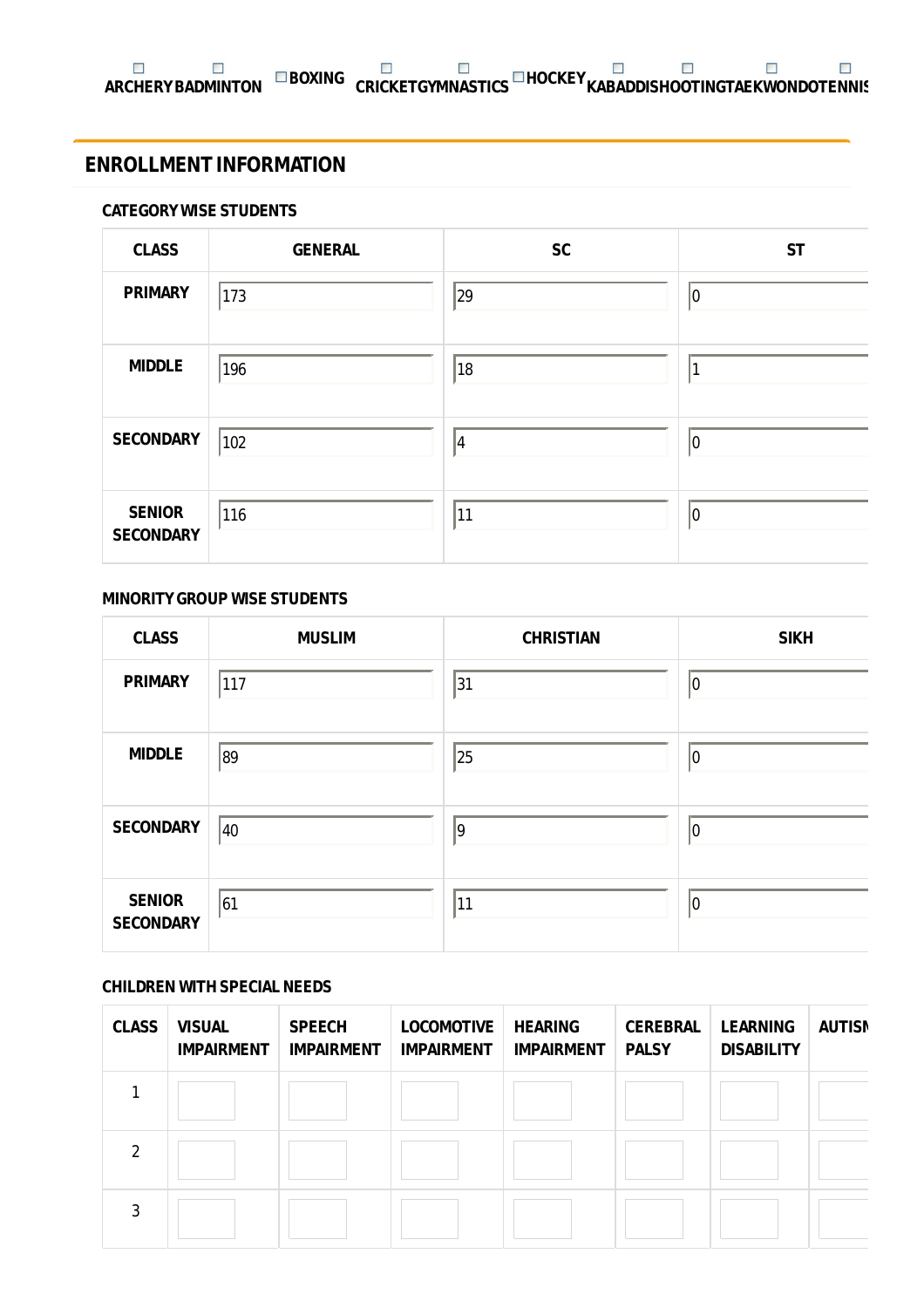# **ENROLLMENT INFORMATION**

### **CATEGORY WISE STUDENTS**

| <b>CLASS</b>                      | <b>GENERAL</b> | <b>SC</b> | <b>ST</b> |
|-----------------------------------|----------------|-----------|-----------|
| <b>PRIMARY</b>                    | 173            | 29        | 10        |
| <b>MIDDLE</b>                     | 196            | 18        | и         |
| <b>SECONDARY</b>                  | 102            | $\vert 4$ | 10        |
| <b>SENIOR</b><br><b>SECONDARY</b> | 116            | 11        | 10        |

### **MINORITY GROUP WISE STUDENTS**

| <b>CLASS</b>                      | <b>MUSLIM</b> | <b>CHRISTIAN</b> | <b>SIKH</b> |
|-----------------------------------|---------------|------------------|-------------|
| <b>PRIMARY</b>                    | 117           | 31               | 10          |
| <b>MIDDLE</b>                     | 89            | 25               | 10          |
| <b>SECONDARY</b>                  | $ 40\rangle$  | $\vert$ 9        | 10          |
| <b>SENIOR</b><br><b>SECONDARY</b> | 61            | 11               | 10          |

# **CHILDREN WITH SPECIAL NEEDS**

| <b>CLASS</b>  | <b>VISUAL</b><br><b>IMPAIRMENT</b> | <b>SPEECH</b><br><b>IMPAIRMENT</b> | <b>LOCOMOTIVE</b><br><b>IMPAIRMENT</b> | <b>HEARING</b><br><b>IMPAIRMENT</b> | <b>CEREBRAL</b><br><b>PALSY</b> | <b>LEARNING</b><br><b>DISABILITY</b> | <b>AUTISN</b> |
|---------------|------------------------------------|------------------------------------|----------------------------------------|-------------------------------------|---------------------------------|--------------------------------------|---------------|
|               |                                    |                                    |                                        |                                     |                                 |                                      |               |
| $\mathcal{P}$ |                                    |                                    |                                        |                                     |                                 |                                      |               |
| 3             |                                    |                                    |                                        |                                     |                                 |                                      |               |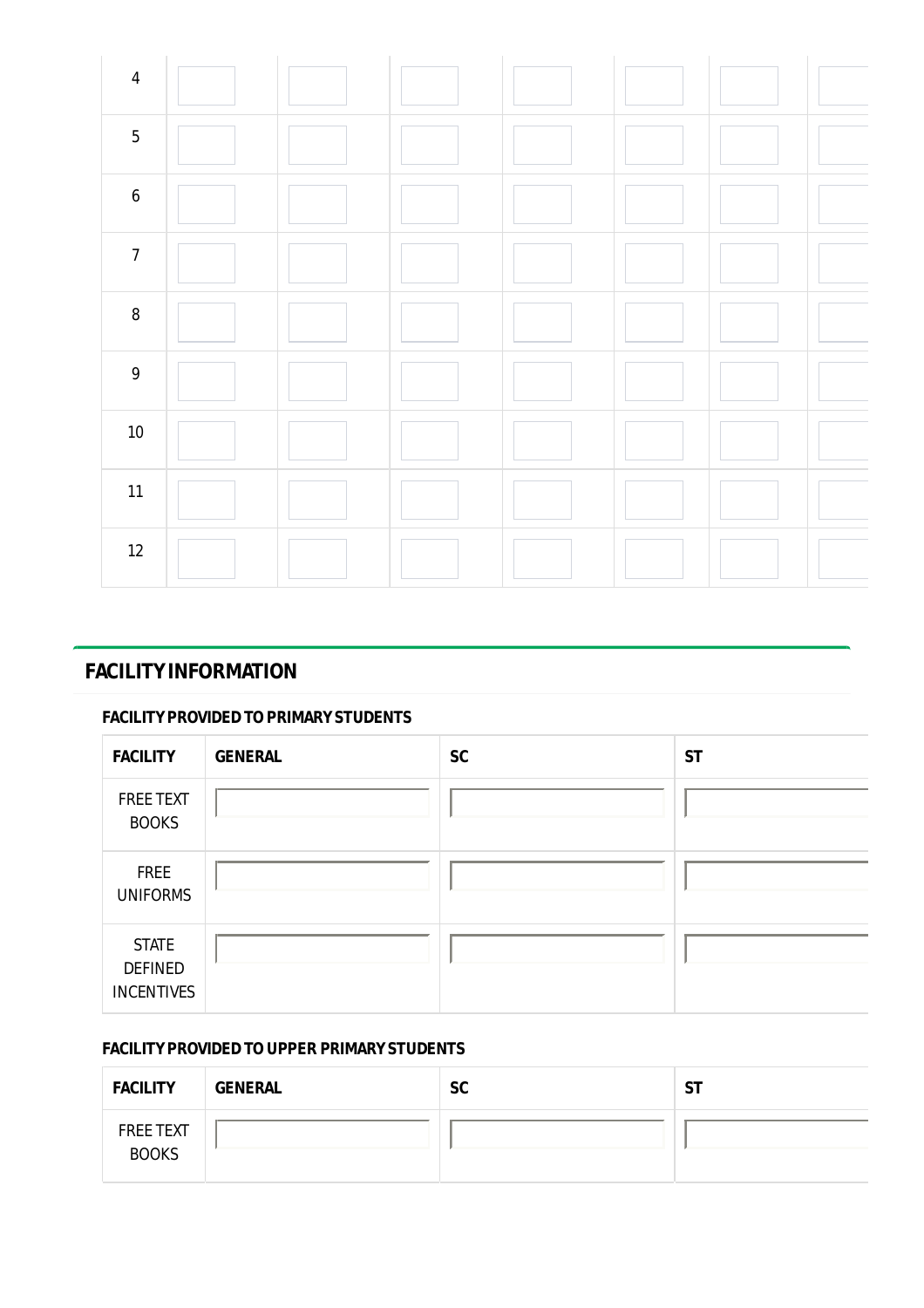

# **FACILITY INFORMATION**

# **FACILITY PROVIDED TO PRIMARY STUDENTS**

| <b>FACILITY</b>                                     | <b>GENERAL</b> | <b>SC</b> | <b>ST</b> |
|-----------------------------------------------------|----------------|-----------|-----------|
| <b>FREE TEXT</b><br><b>BOOKS</b>                    |                |           |           |
| FREE<br><b>UNIFORMS</b>                             |                |           |           |
| <b>STATE</b><br><b>DEFINED</b><br><b>INCENTIVES</b> |                |           |           |

# **FACILITY PROVIDED TO UPPER PRIMARY STUDENTS**

| <b>FACILITY</b>                  | <b>GENERAL</b> | <b>SC</b> | <b>ST</b> |
|----------------------------------|----------------|-----------|-----------|
| <b>FREE TEXT</b><br><b>BOOKS</b> |                |           |           |